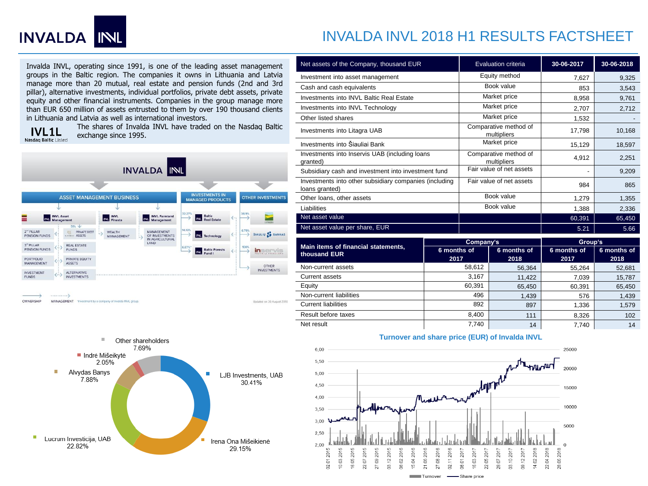

## INVALDA INVL 2018 H1 RESULTS FACTSHEET

Invalda INVL, operating since 1991, is one of the leading asset management groups in the Baltic region. The companies it owns in Lithuania and Latvia manage more than 20 mutual, real estate and pension funds (2nd and 3rd pillar), alternative investments, individual portfolios, private debt assets, private equity and other financial instruments. Companies in the group manage more than EUR 650 million of assets entrusted to them by over 190 thousand clients in Lithuania and Latvia as well as international investors.

**IVL1L** Nasdaq Baltic Listed

The shares of Invalda INVL have traded on the Nasdaq Baltic exchange since 1995.





| Net assets of the Company, thousand EUR                                  | Evaluation criteria                  | 30-06-2017 | 30-06-2018 |
|--------------------------------------------------------------------------|--------------------------------------|------------|------------|
| Investment into asset management                                         | Equity method                        | 7,627      | 9,325      |
| Cash and cash equivalents                                                | Book value                           | 853        | 3,543      |
| Investments into INVL Baltic Real Estate                                 | Market price                         | 8,958      | 9,761      |
| Investments into INVL Technology                                         | Market price                         | 2,707      | 2,712      |
| Other listed shares                                                      | Market price                         | 1,532      |            |
| Investments into Litagra UAB                                             | Comparative method of<br>multipliers | 17,798     | 10,168     |
| Investments into Šiauliai Bank                                           | Market price                         | 15,129     | 18,597     |
| Investments into Inservis UAB (including loans<br>granted)               | Comparative method of<br>multipliers | 4,912      | 2,251      |
| Subsidiary cash and investment into investment fund                      | Fair value of net assets             |            | 9,209      |
| Investments into other subsidiary companies (including<br>loans granted) | Fair value of net assets             | 984        | 865        |
| Other loans, other assets                                                | Book value                           | 1,279      | 1,355      |
| Liabilities                                                              | Book value                           | 1,388      | 2,336      |
| Net asset value                                                          |                                      | 60,391     | 65,450     |
| Net asset value per share, EUR                                           |                                      | 5.21       | 5.66       |
|                                                                          |                                      |            |            |

|                                                     | Company's           |                     | Group's             |                     |
|-----------------------------------------------------|---------------------|---------------------|---------------------|---------------------|
| Main items of financial statements.<br>thousand EUR | 6 months of<br>2017 | 6 months of<br>2018 | 6 months of<br>2017 | 6 months of<br>2018 |
| Non-current assets                                  | 58,612              | 56,364              | 55.264              | 52,681              |
| <b>Current assets</b>                               | 3,167               | 11.422              | 7.039               | 15,787              |
| Equity                                              | 60.391              | 65.450              | 60.391              | 65,450              |
| Non-current liabilities                             | 496                 | 1,439               | 576                 | 1,439               |
| <b>Current liabilities</b>                          | 892                 | 897                 | 1.336               | 1,579               |
| Result before taxes                                 | 8.400               | 111                 | 8.326               | 102                 |
| Net result                                          | 7.740               | 14                  | 7.740               | 14                  |



## **Turnover and share price (EUR) of Invalda INVL**